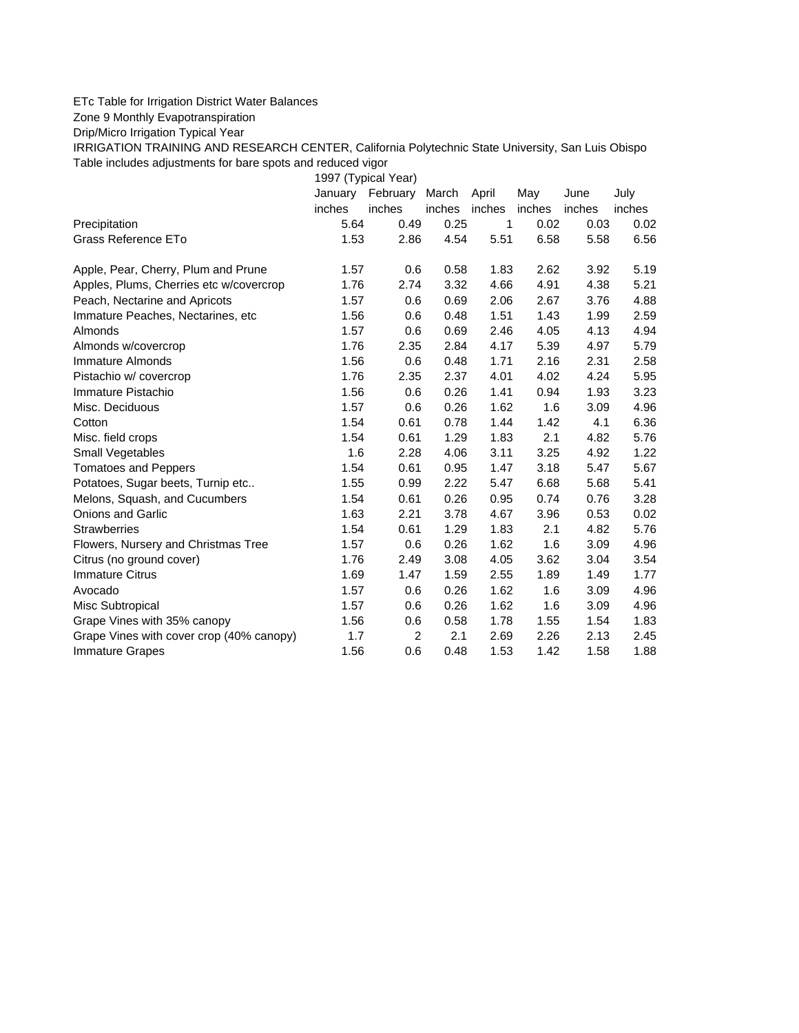## ETc Table for Irrigation District Water Balances

Zone 9 Monthly Evapotranspiration

Drip/Micro Irrigation Typical Year

IRRIGATION TRAINING AND RESEARCH CENTER, California Polytechnic State University, San Luis Obispo Table includes adjustments for bare spots and reduced vigor

1997 (Typical Year) January February March April May June July inches inches inches inches inches inches inches Precipitation 5.64 0.49 0.25 1 0.02 0.03 0.02 Grass Reference ETo **1.53** 2.86 4.54 5.51 6.58 5.58 6.56 Apple, Pear, Cherry, Plum and Prune 1.57 0.6 0.58 1.83 2.62 3.92 5.19 Apples, Plums, Cherries etc w/covercrop 1.76 2.74 3.32 4.66 4.91 4.38 5.21 Peach, Nectarine and Apricots 1.57 0.6 0.69 2.06 2.67 3.76 4.88 Immature Peaches, Nectarines, etc 1.56 0.6 0.48 1.51 1.43 1.99 2.59 Almonds 1.57 0.6 0.69 2.46 4.05 4.13 4.94 Almonds w/covercrop 1.76 2.35 2.84 4.17 5.39 4.97 5.79 Immature Almonds 1.56 0.6 0.48 1.71 2.16 2.31 2.58 Pistachio w/ covercrop 1.76 2.35 2.37 4.01 4.02 4.24 5.95 Immature Pistachio 1.56 0.6 0.26 1.41 0.94 1.93 3.23 Misc. Deciduous 1.57 0.6 0.26 1.62 1.6 3.09 4.96 Cotton 1.54 0.61 0.78 1.44 1.42 4.1 6.36 Misc. field crops 1.54 0.61 1.29 1.83 2.1 4.82 5.76 Small Vegetables 1.6 2.28 4.06 3.11 3.25 4.92 1.22 Tomatoes and Peppers 1.54 0.61 0.95 1.47 3.18 5.47 5.67 Potatoes, Sugar beets, Turnip etc.. <br>1.55 0.99 2.22 5.47 6.68 5.68 5.41 Melons, Squash, and Cucumbers 1.54 0.61 0.26 0.95 0.74 0.76 3.28 Onions and Garlic 1.63 2.21 3.78 4.67 3.96 0.53 0.02 Strawberries 1.54 0.61 1.29 1.83 2.1 4.82 5.76 Flowers, Nursery and Christmas Tree  $1.57$  0.6 0.26 1.62 1.6 3.09 4.96 Citrus (no ground cover) 1.76 2.49 3.08 4.05 3.62 3.04 3.54 Immature Citrus 1.69 1.47 1.59 2.55 1.89 1.49 1.77 Avocado 1.57 0.6 0.26 1.62 1.6 3.09 4.96 Misc Subtropical 1.57 0.6 0.26 1.62 1.6 3.09 4.96 Grape Vines with 35% canopy  $1.56$  0.6 0.58 1.78 1.55 1.54 1.83 Grape Vines with cover crop (40% canopy)  $\qquad 1.7 \qquad 2 \qquad 2.1 \qquad 2.69 \qquad 2.26 \qquad 2.13 \qquad 2.45$ Immature Grapes 1.56 0.6 0.48 1.53 1.42 1.58 1.88